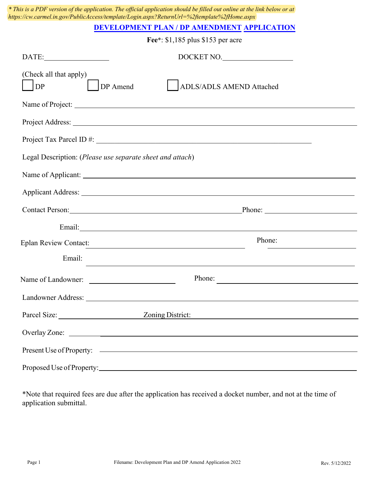|                                                           | * This is a PDF version of the application. The official application should be filled out online at the link below or at<br>https://cw.carmel.in.gov/PublicAccess/template/Login.aspx?ReturnUrl=%2ftemplate%2fHome.aspx        |  |  |  |  |
|-----------------------------------------------------------|--------------------------------------------------------------------------------------------------------------------------------------------------------------------------------------------------------------------------------|--|--|--|--|
|                                                           | <b>DEVELOPMENT PLAN / DP AMENDMENT APPLICATION</b>                                                                                                                                                                             |  |  |  |  |
| Fee*: \$1,185 plus \$153 per acre                         |                                                                                                                                                                                                                                |  |  |  |  |
| $\textbf{DATE:}\underline{\hspace{1.5cm}}$                | DOCKET NO.                                                                                                                                                                                                                     |  |  |  |  |
| (Check all that apply)<br><b>DP</b><br>DP Amend           | <b>ADLS/ADLS AMEND Attached</b>                                                                                                                                                                                                |  |  |  |  |
|                                                           |                                                                                                                                                                                                                                |  |  |  |  |
|                                                           |                                                                                                                                                                                                                                |  |  |  |  |
|                                                           |                                                                                                                                                                                                                                |  |  |  |  |
| Legal Description: (Please use separate sheet and attach) |                                                                                                                                                                                                                                |  |  |  |  |
|                                                           |                                                                                                                                                                                                                                |  |  |  |  |
|                                                           |                                                                                                                                                                                                                                |  |  |  |  |
|                                                           | Contact Person: Phone: Phone: Phone: Phone: Phone: Phone: Phone: Phone: Phone: Phone: Phone: Phone: Phone: Phone: Phone: Phone: Phone: Phone: Phone: Phone: Phone: Phone: Phone: Phone: Phone: Phone: Phone: Phone: Phone: Pho |  |  |  |  |
|                                                           |                                                                                                                                                                                                                                |  |  |  |  |
| <b>Eplan Review Contact:</b>                              | Phone:<br><u> 1989 - Andrea Albert III, politik eta politik eta politik eta politik eta politik eta politik eta politik e</u>                                                                                                  |  |  |  |  |
| Email:                                                    |                                                                                                                                                                                                                                |  |  |  |  |
| Name of Landowner:                                        | Phone:                                                                                                                                                                                                                         |  |  |  |  |
|                                                           |                                                                                                                                                                                                                                |  |  |  |  |
|                                                           | Parcel Size: <u>Zoning District:</u>                                                                                                                                                                                           |  |  |  |  |
|                                                           |                                                                                                                                                                                                                                |  |  |  |  |
|                                                           |                                                                                                                                                                                                                                |  |  |  |  |
|                                                           |                                                                                                                                                                                                                                |  |  |  |  |

\*Note that required fees are due after the application has received a docket number, and not at the time of application submittal.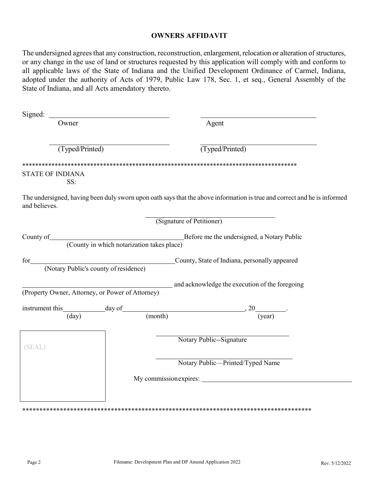### **OWNERS AFFIDAVIT**

The undersigned agrees that any construction, reconstruction, enlargement, relocation or alteration of structures, or any change in the use of land or structures requested by this application will comply with and conform to all applicable laws of the State of Indiana and the Unified Development Ordinance of Carmel, Indiana, adopted under the authority of Acts of 1979, Public Law 178, Sec. 1, et seq., General Assembly of the State of Indiana, and all Acts amendatory thereto.

| Signed:                                          |                                                                                                                          |
|--------------------------------------------------|--------------------------------------------------------------------------------------------------------------------------|
| Owner                                            | Agent                                                                                                                    |
| (Typed/Printed)                                  | (Typed/Printed)                                                                                                          |
| <b>STATE OF INDIANA</b><br>SS:                   |                                                                                                                          |
| and believes.                                    | The undersigned, having been duly sworn upon oath says that the above information is true and correct and he is informed |
|                                                  | (Signature of Petitioner)                                                                                                |
|                                                  | County of County in which notarization takes place)<br>County in which notarization takes place)                         |
|                                                  | for County, State of Indiana, personally appeared<br>(Notary Public's county of residence)                               |
| (Property Owner, Attorney, or Power of Attorney) | and acknowledge the execution of the foregoing                                                                           |
|                                                  | instrument this day of $\frac{day}{(day)}$ day of (month) $(year)$                                                       |
|                                                  |                                                                                                                          |
| (SEAL)                                           | Notary Public--Signature                                                                                                 |
|                                                  | Notary Public-Printed/Typed Name                                                                                         |
|                                                  |                                                                                                                          |
|                                                  |                                                                                                                          |
|                                                  |                                                                                                                          |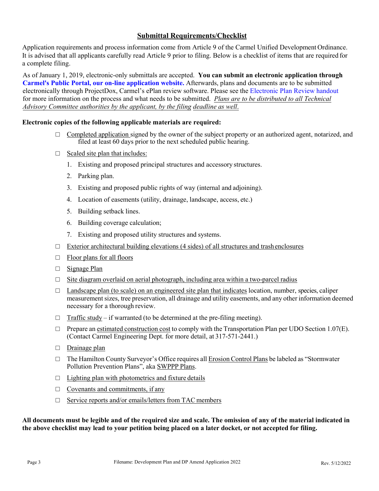## **Submittal Requirements/Checklist**

Application requirements and process information come from Article 9 of the Carmel Unified Development Ordinance. It is advised that all applicants carefully read Article 9 prior to filing. Below is a checklist of items that are required for a complete filing.

As of January 1, 2019, electronic-only submittals are accepted. **You can submit an electronic application through [Carmel's Public Portal, our on-line application website.](https://cw.carmel.in.gov/PublicAccess/template/Login.aspx)** Afterwards, plans and documents are to be submitted electronically through ProjectDox, Carmel's ePlan review software. Please see the [Electronic Plan Review handout](https://www.carmel.in.gov/home/showpublisheddocument?id=13285) for more information on the process and what needs to be submitted. *Plans are to be distributed to all Technical Advisory Committee authorities by the applicant, by the filing deadline as well*.

#### **Electronic copies of the following applicable materials are required:**

- $\Box$  Completed application signed by the owner of the subject property or an authorized agent, notarized, and filed at least 60 days prior to the next scheduled public hearing.
- $\Box$  Scaled site plan that includes:
	- 1. Existing and proposed principal structures and accessory structures.
	- 2. Parking plan.
	- 3. Existing and proposed public rights of way (internal and adjoining).
	- 4. Location of easements (utility, drainage, landscape, access, etc.)
	- 5. Building setback lines.
	- 6. Building coverage calculation;
	- 7. Existing and proposed utility structures and systems.
- $\Box$  Exterior architectural building elevations (4 sides) of all structures and trash enclosures
- $\Box$  Floor plans for all floors
- □ Signage Plan
- $\Box$  Site diagram overlaid on aerial photograph, including area within a two-parcel radius
- $\Box$  Landscape plan (to scale) on an engineered site plan that indicates location, number, species, caliper measurementsizes, tree preservation, all drainage and utility easements, and any other information deemed necessary for a thorough review.
- $\Box$  Traffic study if warranted (to be determined at the pre-filing meeting).
- $\Box$  Prepare an estimated construction cost to comply with the Transportation Plan per UDO Section 1.07(E). (Contact Carmel Engineering Dept. for more detail, at 317-571-2441.)
- □ Drainage plan
- $\Box$  The Hamilton County Surveyor's Office requires all Erosion Control Plans be labeled as "Stormwater" Pollution Prevention Plans", aka SWPPP Plans.
- $\Box$  Lighting plan with photometrics and fixture details
- $\Box$  Covenants and commitments, if any
- □ Service reports and/or emails/letters from TAC members

**All documents must be legible and of the required size and scale. The omission of any of the material indicated in the above checklist may lead to your petition being placed on a later docket, or not accepted for filing.**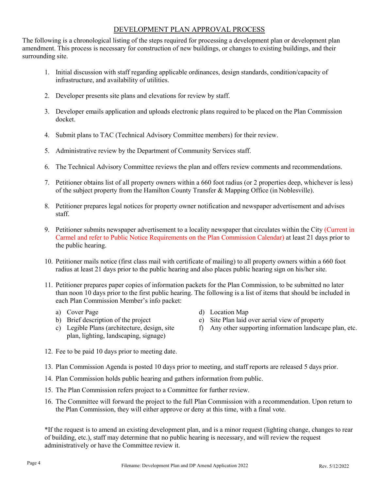### DEVELOPMENT PLAN APPROVAL PROCESS

The following is a chronological listing of the steps required for processing a development plan or development plan amendment. This process is necessary for construction of new buildings, or changes to existing buildings, and their surrounding site.

- 1. Initial discussion with staff regarding applicable ordinances, design standards, condition/capacity of infrastructure, and availability of utilities.
- 2. Developer presents site plans and elevations for review by staff.
- 3. Developer emails application and uploads electronic plans required to be placed on the Plan Commission docket.
- 4. Submit plans to TAC (Technical Advisory Committee members) for their review.
- 5. Administrative review by the Department of Community Services staff.
- 6. The Technical Advisory Committee reviews the plan and offers review comments and recommendations.
- 7. Petitioner obtains list of all property owners within a 660 foot radius (or 2 properties deep, whichever is less) of the subject property from the Hamilton County Transfer & Mapping Office (in Noblesville).
- 8. Petitioner prepares legal notices for property owner notification and newspaper advertisement and advises staff.
- 9. Petitioner submits newspaper advertisement to a locality newspaper that circulates within the City (Current in Carmel and refer to Public Notice Requirements on the Plan Commission Calendar) at least 21 days prior to the public hearing.
- 10. Petitioner mails notice (first class mail with certificate of mailing) to all property owners within a 660 foot radius at least 21 days prior to the public hearing and also places public hearing sign on his/her site.
- 11. Petitioner prepares paper copies of information packets for the Plan Commission, to be submitted no later than noon 10 days prior to the first public hearing. The following is a list of items that should be included in each Plan Commission Member's info packet:
	- a) Cover Page
	- b) Brief description of the project
	- c) Legible Plans (architecture, design, site plan, lighting, landscaping, signage)
- d) Location Map
- e) Site Plan laid over aerial view of property
- f) Any other supporting information landscape plan, etc.
- 12. Fee to be paid 10 days prior to meeting date.
- 13. Plan Commission Agenda is posted 10 days prior to meeting, and staff reports are released 5 days prior.
- 14. Plan Commission holds public hearing and gathers information from public.
- 15. The Plan Commission refers project to a Committee for further review.
- 16. The Committee will forward the project to the full Plan Commission with a recommendation. Upon return to the Plan Commission, they will either approve or deny at this time, with a final vote.

\*If the request is to amend an existing development plan, and is a minor request (lighting change, changes to rear of building, etc.), staff may determine that no public hearing is necessary, and will review the request administratively or have the Committee review it.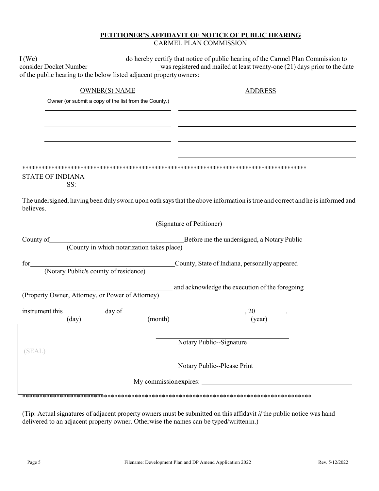### PETITIONER'S AFFIDAVIT OF NOTICE OF PUBLIC HEARING **CARMEL PLAN COMMISSION**

|                                | of the public hearing to the below listed adjacent property owners: |                                                                                                                              |
|--------------------------------|---------------------------------------------------------------------|------------------------------------------------------------------------------------------------------------------------------|
|                                | <b>OWNER(S) NAME</b>                                                | <b>ADDRESS</b>                                                                                                               |
|                                | Owner (or submit a copy of the list from the County.)               |                                                                                                                              |
|                                |                                                                     |                                                                                                                              |
|                                |                                                                     |                                                                                                                              |
|                                |                                                                     |                                                                                                                              |
|                                |                                                                     |                                                                                                                              |
| <b>STATE OF INDIANA</b><br>SS: |                                                                     |                                                                                                                              |
| believes.                      |                                                                     | The undersigned, having been duly sworn upon oath says that the above information is true and correct and he is informed and |
|                                |                                                                     | (Signature of Petitioner)                                                                                                    |
|                                |                                                                     | County of County in which notarization takes place)<br>County in which notarization takes place)                             |
|                                |                                                                     |                                                                                                                              |
|                                |                                                                     | (Property Owner, Attorney, or Power of Attorney) and acknowledge the execution of the foregoing                              |
|                                |                                                                     |                                                                                                                              |
|                                | instrument this $\frac{day}{(day)}$ day of $\frac{1}{(month)}$      | , 20<br>(year)                                                                                                               |
|                                |                                                                     |                                                                                                                              |
| (SEAL)                         |                                                                     | Notary Public--Signature                                                                                                     |
|                                |                                                                     | Notary Public--Please Print                                                                                                  |
|                                |                                                                     |                                                                                                                              |
|                                |                                                                     |                                                                                                                              |

(Tip: Actual signatures of adjacent property owners must be submitted on this affidavit if the public notice was hand delivered to an adjacent property owner. Otherwise the names can be typed/written in.)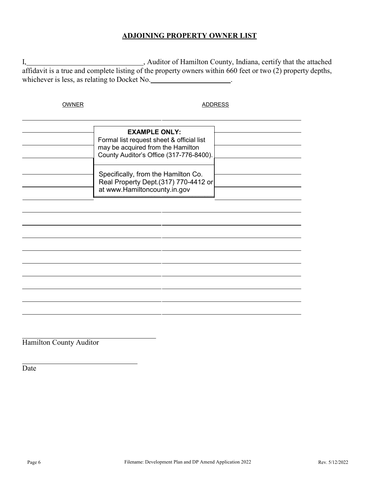# **ADJOINING PROPERTY OWNER LIST**

I, Auditor of Hamilton County, Indiana, certify that the attached affidavit is a true and complete listing of the property owners within 660 feet or two (2) property depths, whichever is less, as relating to Docket No. .

OWNER ADDRESS

| <b>EXAMPLE ONLY:</b><br>Formal list request sheet & official list<br>may be acquired from the Hamilton<br>County Auditor's Office (317-776-8400). |  |
|---------------------------------------------------------------------------------------------------------------------------------------------------|--|
| Specifically, from the Hamilton Co.<br>Real Property Dept.(317) 770-4412 or<br>at www.Hamiltoncounty.in.gov                                       |  |

Hamilton County Auditor

Date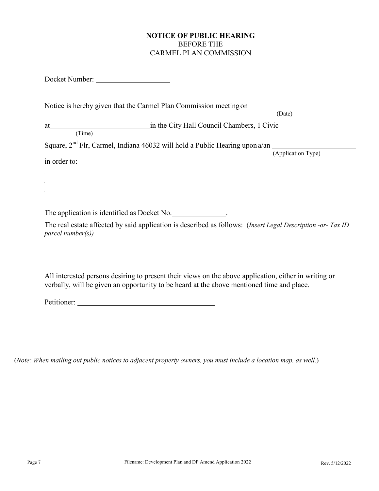# **NOTICE OF PUBLIC HEARING** BEFORE THE CARMEL PLAN COMMISSION

Docket Number:

|        | Notice is hereby given that the Carmel Plan Commission meeting on                       |
|--------|-----------------------------------------------------------------------------------------|
|        | (Date)                                                                                  |
| at     | in the City Hall Council Chambers, 1 Civic                                              |
| (Time) |                                                                                         |
|        | Square, 2 <sup>nd</sup> Flr, Carmel, Indiana 46032 will hold a Public Hearing upon a/an |

in order to:

(Application Type)

The application is identified as Docket No. \_\_\_\_\_\_\_\_\_\_\_\_\_\_.

The real estate affected by said application is described as follows: (*Insert Legal Description -or- Tax ID parcel number(s))*

All interested persons desiring to present their views on the above application, either in writing or verbally, will be given an opportunity to be heard at the above mentioned time and place.

Petitioner:

(*Note: When mailing out public notices to adjacent property owners, you must include a location map, as well*.)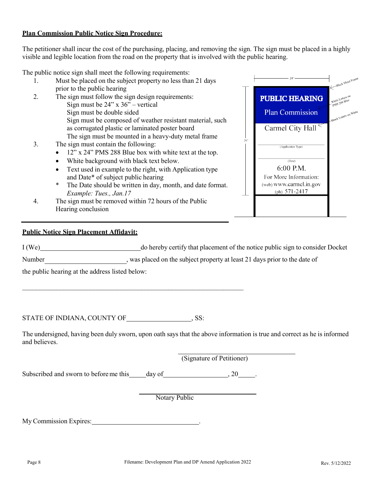#### **Plan Commission Public Notice Sign Procedure:**

The petitioner shall incur the cost of the purchasing, placing, and removing the sign. The sign must be placed in a highly visible and legible location from the road on the property that is involved with the public hearing.

The public notice sign shall meet the following requirements:

- 1. Must be placed on the subject property no less than 21 days prior to the public hearing
- 2. The sign must follow the sign design requirements: Sign must be 24" x 36" – vertical Sign must be double sided Sign must be composed of weather resistant material, such as corrugated plastic or laminated poster board The sign must be mounted in a heavy-duty metal frame
- 3. The sign must contain the following:
	- 12" x 24" PMS 288 Blue box with white text at the top.
	- White background with black text below.
	- Text used in example to the right, with Application type and Date\* of subject public hearing
	- \* The Date should be written in day, month, and date format. *Example: Tues., Jan.17*
- 4. The sign must be removed within 72 hours of the Public Hearing conclusion

#### **Public Notice Sign Placement Affidavit:**

I (We) do hereby certify that placement of the notice public sign to consider Docket

Number , was placed on the subject property at least 21 days prior to the date of

the public hearing at the address listed below:

STATE OF INDIANA, COUNTY OF , SS:

The undersigned, having been duly sworn, upon oath says that the above information is true and correct as he is informed and believes.

(Signature of Petitioner)

Subscribed and sworn to before me this day of , 20 .

\_\_\_\_\_\_\_\_\_\_\_\_\_\_\_\_\_\_\_\_\_\_\_\_\_\_\_\_\_\_\_\_\_\_\_\_\_\_\_\_\_\_\_\_\_\_\_\_\_\_\_\_\_\_\_\_\_\_\_\_\_\_\_\_\_

Notary Public

My Commission Expires: .